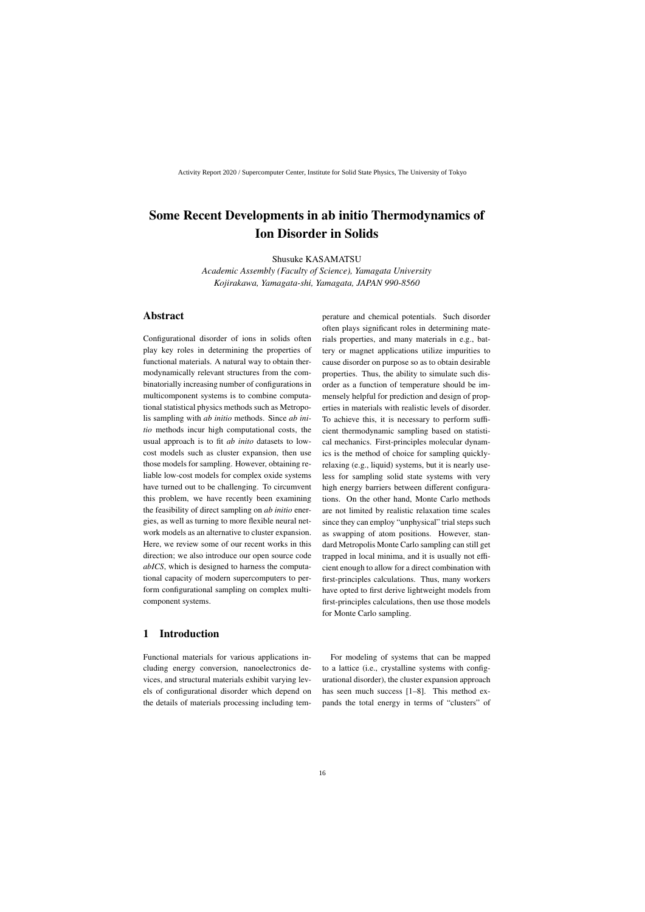# Some Recent Developments in ab initio Thermodynamics of Ion Disorder in Solids

Shusuke KASAMATSU

*Academic Assembly (Faculty of Science), Yamagata University Kojirakawa, Yamagata-shi, Yamagata, JAPAN 990-8560*

### Abstract

Configurational disorder of ions in solids often play key roles in determining the properties of functional materials. A natural way to obtain thermodynamically relevant structures from the combinatorially increasing number of configurations in multicomponent systems is to combine computational statistical physics methods such as Metropolis sampling with *ab initio* methods. Since *ab initio* methods incur high computational costs, the usual approach is to fit *ab inito* datasets to lowcost models such as cluster expansion, then use those models for sampling. However, obtaining reliable low-cost models for complex oxide systems have turned out to be challenging. To circumvent this problem, we have recently been examining the feasibility of direct sampling on *ab initio* energies, as well as turning to more flexible neural network models as an alternative to cluster expansion. Here, we review some of our recent works in this direction; we also introduce our open source code *abICS*, which is designed to harness the computational capacity of modern supercomputers to perform configurational sampling on complex multicomponent systems.

## 1 Introduction

Functional materials for various applications including energy conversion, nanoelectronics devices, and structural materials exhibit varying levels of configurational disorder which depend on the details of materials processing including temperature and chemical potentials. Such disorder often plays significant roles in determining materials properties, and many materials in e.g., battery or magnet applications utilize impurities to cause disorder on purpose so as to obtain desirable properties. Thus, the ability to simulate such disorder as a function of temperature should be immensely helpful for prediction and design of properties in materials with realistic levels of disorder. To achieve this, it is necessary to perform sufficient thermodynamic sampling based on statistical mechanics. First-principles molecular dynamics is the method of choice for sampling quicklyrelaxing (e.g., liquid) systems, but it is nearly useless for sampling solid state systems with very high energy barriers between different configurations. On the other hand, Monte Carlo methods are not limited by realistic relaxation time scales since they can employ "unphysical" trial steps such as swapping of atom positions. However, standard Metropolis Monte Carlo sampling can still get trapped in local minima, and it is usually not efficient enough to allow for a direct combination with first-principles calculations. Thus, many workers have opted to first derive lightweight models from first-principles calculations, then use those models for Monte Carlo sampling.

For modeling of systems that can be mapped to a lattice (i.e., crystalline systems with configurational disorder), the cluster expansion approach has seen much success [1–8]. This method expands the total energy in terms of "clusters" of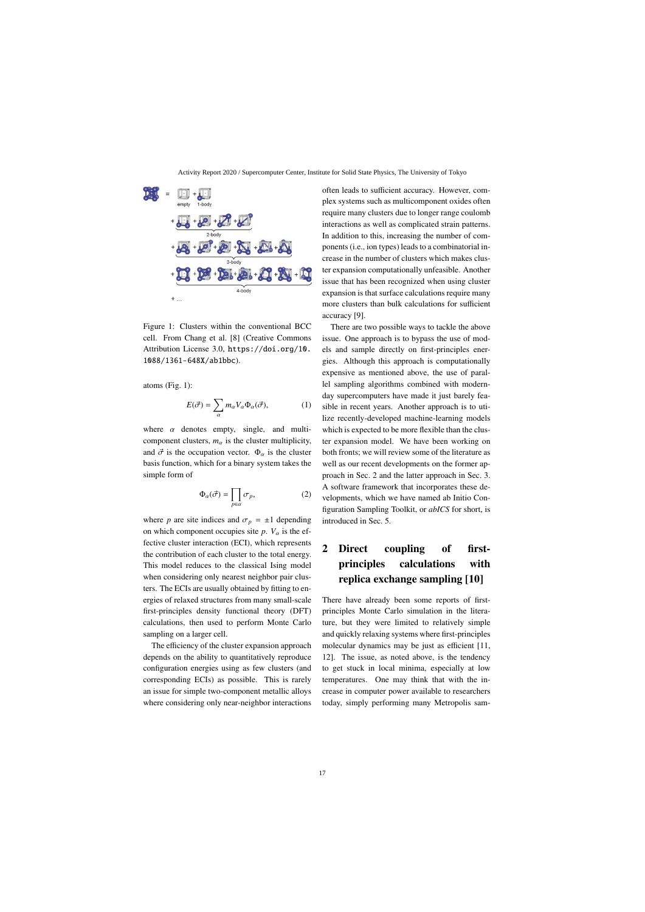

Figure 1: Clusters within the conventional BCC cell. From Chang et al. [8] (Creative Commons Attribution License 3.0, https://doi.org/10. 1088/1361-648X/ab1bbc).

atoms (Fig. 1):

$$
E(\vec{\sigma}) = \sum_{\alpha} m_{\alpha} V_{\alpha} \Phi_{\alpha}(\vec{\sigma}), \qquad (1)
$$

where  $\alpha$  denotes empty, single, and multicomponent clusters,  $m_\alpha$  is the cluster multiplicity, and  $\vec{\sigma}$  is the occupation vector.  $\Phi_{\alpha}$  is the cluster basis function, which for a binary system takes the simple form of

$$
\Phi_{\alpha}(\vec{\sigma}) = \prod_{p \in \alpha} \sigma_p,\tag{2}
$$

where *p* are site indices and  $\sigma_p = \pm 1$  depending on which component occupies site  $p$ .  $V_\alpha$  is the effective cluster interaction (ECI), which represents the contribution of each cluster to the total energy. This model reduces to the classical Ising model when considering only nearest neighbor pair clusters. The ECIs are usually obtained by fitting to energies of relaxed structures from many small-scale first-principles density functional theory (DFT) calculations, then used to perform Monte Carlo sampling on a larger cell.

The efficiency of the cluster expansion approach depends on the ability to quantitatively reproduce configuration energies using as few clusters (and corresponding ECIs) as possible. This is rarely an issue for simple two-component metallic alloys where considering only near-neighbor interactions often leads to sufficient accuracy. However, complex systems such as multicomponent oxides often require many clusters due to longer range coulomb interactions as well as complicated strain patterns. In addition to this, increasing the number of components (i.e., ion types) leads to a combinatorial increase in the number of clusters which makes cluster expansion computationally unfeasible. Another issue that has been recognized when using cluster expansion is that surface calculations require many more clusters than bulk calculations for sufficient accuracy [9].

There are two possible ways to tackle the above issue. One approach is to bypass the use of models and sample directly on first-principles energies. Although this approach is computationally expensive as mentioned above, the use of parallel sampling algorithms combined with modernday supercomputers have made it just barely feasible in recent years. Another approach is to utilize recently-developed machine-learning models which is expected to be more flexible than the cluster expansion model. We have been working on both fronts; we will review some of the literature as well as our recent developments on the former approach in Sec. 2 and the latter approach in Sec. 3. A software framework that incorporates these developments, which we have named ab Initio Configuration Sampling Toolkit, or *abICS* for short, is introduced in Sec. 5.

# 2 Direct coupling of firstprinciples calculations with replica exchange sampling [10]

There have already been some reports of firstprinciples Monte Carlo simulation in the literature, but they were limited to relatively simple and quickly relaxing systems where first-principles molecular dynamics may be just as efficient [11, 12]. The issue, as noted above, is the tendency to get stuck in local minima, especially at low temperatures. One may think that with the increase in computer power available to researchers today, simply performing many Metropolis sam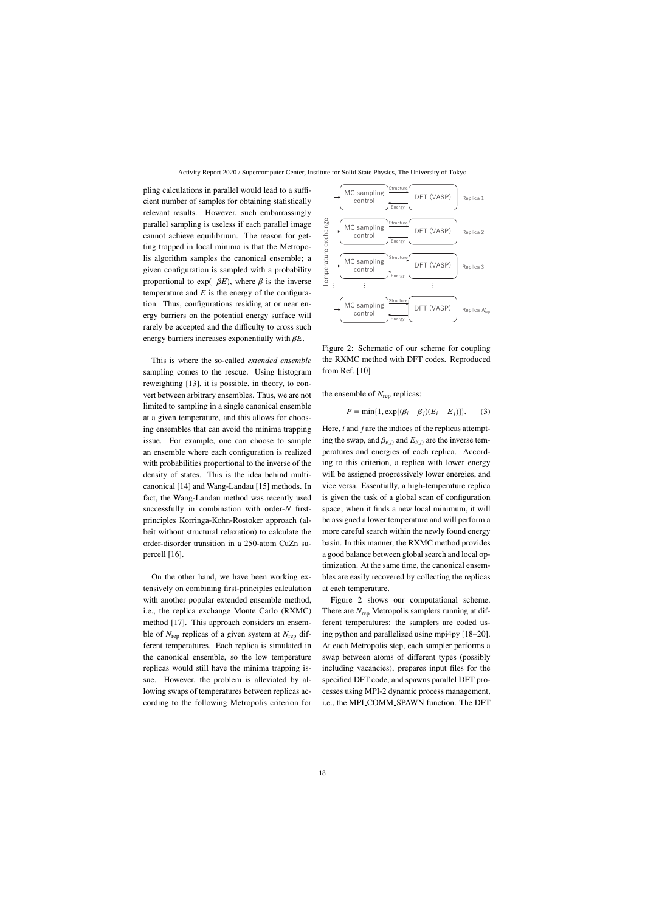pling calculations in parallel would lead to a sufficient number of samples for obtaining statistically relevant results. However, such embarrassingly parallel sampling is useless if each parallel image cannot achieve equilibrium. The reason for getting trapped in local minima is that the Metropolis algorithm samples the canonical ensemble; a given configuration is sampled with a probability proportional to  $exp(-\beta E)$ , where  $\beta$  is the inverse temperature and  $E$  is the energy of the configuration. Thus, configurations residing at or near energy barriers on the potential energy surface will rarely be accepted and the difficulty to cross such energy barriers increases exponentially with β*E*.

This is where the so-called *extended ensemble* sampling comes to the rescue. Using histogram reweighting [13], it is possible, in theory, to convert between arbitrary ensembles. Thus, we are not limited to sampling in a single canonical ensemble at a given temperature, and this allows for choosing ensembles that can avoid the minima trapping issue. For example, one can choose to sample an ensemble where each configuration is realized with probabilities proportional to the inverse of the density of states. This is the idea behind multicanonical [14] and Wang-Landau [15] methods. In fact, the Wang-Landau method was recently used successfully in combination with order-*N* firstprinciples Korringa-Kohn-Rostoker approach (albeit without structural relaxation) to calculate the order-disorder transition in a 250-atom CuZn supercell [16].

On the other hand, we have been working extensively on combining first-principles calculation with another popular extended ensemble method, i.e., the replica exchange Monte Carlo (RXMC) method [17]. This approach considers an ensemble of *N*rep replicas of a given system at *N*rep different temperatures. Each replica is simulated in the canonical ensemble, so the low temperature replicas would still have the minima trapping issue. However, the problem is alleviated by allowing swaps of temperatures between replicas according to the following Metropolis criterion for



Figure 2: Schematic of our scheme for coupling the RXMC method with DFT codes. Reproduced from Ref. [10]

the ensemble of  $N_{\text{rep}}$  replicas:

$$
P = \min\{1, \exp[(\beta_i - \beta_j)(E_i - E_j)]\}.
$$
 (3)

Here, *i* and *j* are the indices of the replicas attempting the swap, and  $\beta_{i(j)}$  and  $E_{i(j)}$  are the inverse temperatures and energies of each replica. According to this criterion, a replica with lower energy will be assigned progressively lower energies, and vice versa. Essentially, a high-temperature replica is given the task of a global scan of configuration space; when it finds a new local minimum, it will be assigned a lower temperature and will perform a more careful search within the newly found energy basin. In this manner, the RXMC method provides a good balance between global search and local optimization. At the same time, the canonical ensembles are easily recovered by collecting the replicas at each temperature.

Figure 2 shows our computational scheme. There are *N*rep Metropolis samplers running at different temperatures; the samplers are coded using python and parallelized using mpi4py [18–20]. At each Metropolis step, each sampler performs a swap between atoms of different types (possibly including vacancies), prepares input files for the specified DFT code, and spawns parallel DFT processes using MPI-2 dynamic process management, i.e., the MPI COMM SPAWN function. The DFT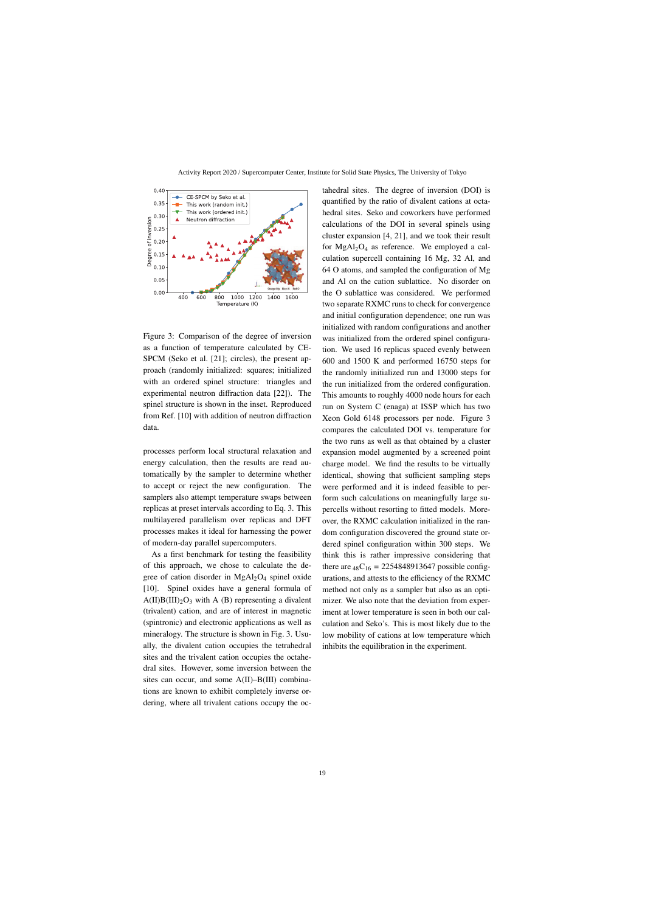

Figure 3: Comparison of the degree of inversion as a function of temperature calculated by CE-SPCM (Seko et al. [21]; circles), the present approach (randomly initialized: squares; initialized with an ordered spinel structure: triangles and experimental neutron diffraction data [22]). The spinel structure is shown in the inset. Reproduced from Ref. [10] with addition of neutron diffraction data.

processes perform local structural relaxation and energy calculation, then the results are read automatically by the sampler to determine whether to accept or reject the new configuration. The samplers also attempt temperature swaps between replicas at preset intervals according to Eq. 3. This multilayered parallelism over replicas and DFT processes makes it ideal for harnessing the power of modern-day parallel supercomputers.

As a first benchmark for testing the feasibility of this approach, we chose to calculate the degree of cation disorder in  $MgAl<sub>2</sub>O<sub>4</sub>$  spinel oxide [10]. Spinel oxides have a general formula of  $A(II)B(III)_2O_3$  with A (B) representing a divalent (trivalent) cation, and are of interest in magnetic (spintronic) and electronic applications as well as mineralogy. The structure is shown in Fig. 3. Usually, the divalent cation occupies the tetrahedral sites and the trivalent cation occupies the octahedral sites. However, some inversion between the sites can occur, and some A(II)–B(III) combinations are known to exhibit completely inverse ordering, where all trivalent cations occupy the oc-

tahedral sites. The degree of inversion (DOI) is quantified by the ratio of divalent cations at octahedral sites. Seko and coworkers have performed calculations of the DOI in several spinels using cluster expansion [4, 21], and we took their result for MgAl2O<sup>4</sup> as reference. We employed a calculation supercell containing 16 Mg, 32 Al, and 64 O atoms, and sampled the configuration of Mg and Al on the cation sublattice. No disorder on the O sublattice was considered. We performed two separate RXMC runs to check for convergence and initial configuration dependence; one run was initialized with random configurations and another was initialized from the ordered spinel configuration. We used 16 replicas spaced evenly between 600 and 1500 K and performed 16750 steps for the randomly initialized run and 13000 steps for the run initialized from the ordered configuration. This amounts to roughly 4000 node hours for each run on System C (enaga) at ISSP which has two Xeon Gold 6148 processors per node. Figure 3 compares the calculated DOI vs. temperature for the two runs as well as that obtained by a cluster expansion model augmented by a screened point charge model. We find the results to be virtually identical, showing that sufficient sampling steps were performed and it is indeed feasible to perform such calculations on meaningfully large supercells without resorting to fitted models. Moreover, the RXMC calculation initialized in the random configuration discovered the ground state ordered spinel configuration within 300 steps. We think this is rather impressive considering that there are  $_{48}C_{16} = 2254848913647$  possible configurations, and attests to the efficiency of the RXMC method not only as a sampler but also as an optimizer. We also note that the deviation from experiment at lower temperature is seen in both our calculation and Seko's. This is most likely due to the low mobility of cations at low temperature which inhibits the equilibration in the experiment.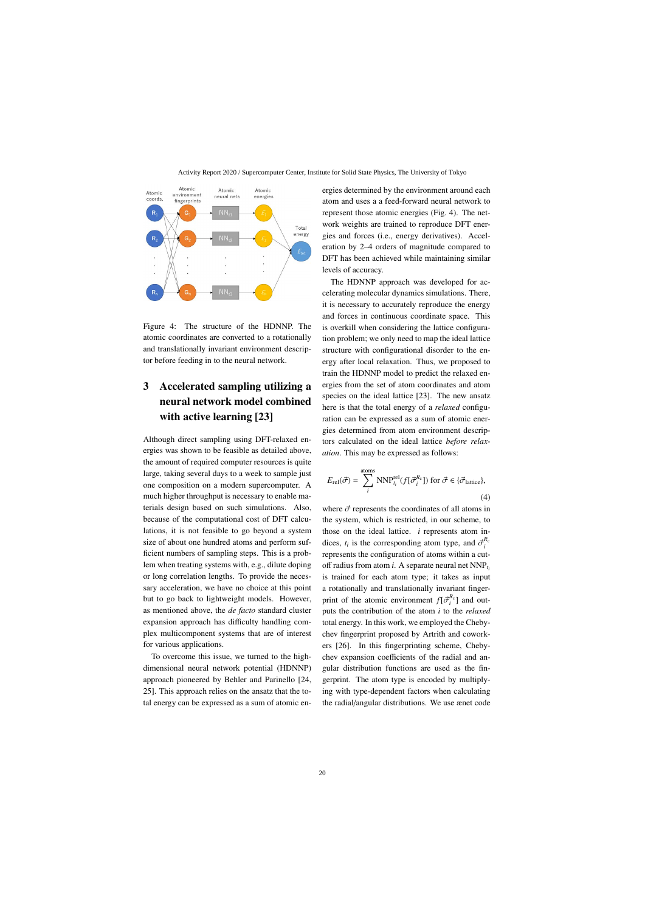

Figure 4: The structure of the HDNNP. The atomic coordinates are converted to a rotationally and translationally invariant environment descriptor before feeding in to the neural network.

# 3 Accelerated sampling utilizing a neural network model combined with active learning [23]

Although direct sampling using DFT-relaxed energies was shown to be feasible as detailed above, the amount of required computer resources is quite large, taking several days to a week to sample just one composition on a modern supercomputer. A much higher throughput is necessary to enable materials design based on such simulations. Also, because of the computational cost of DFT calculations, it is not feasible to go beyond a system size of about one hundred atoms and perform sufficient numbers of sampling steps. This is a problem when treating systems with, e.g., dilute doping or long correlation lengths. To provide the necessary acceleration, we have no choice at this point but to go back to lightweight models. However, as mentioned above, the *de facto* standard cluster expansion approach has difficulty handling complex multicomponent systems that are of interest for various applications.

To overcome this issue, we turned to the highdimensional neural network potential (HDNNP) approach pioneered by Behler and Parinello [24, 25]. This approach relies on the ansatz that the total energy can be expressed as a sum of atomic energies determined by the environment around each atom and uses a a feed-forward neural network to represent those atomic energies (Fig. 4). The network weights are trained to reproduce DFT energies and forces (i.e., energy derivatives). Acceleration by 2–4 orders of magnitude compared to DFT has been achieved while maintaining similar levels of accuracy.

The HDNNP approach was developed for accelerating molecular dynamics simulations. There, it is necessary to accurately reproduce the energy and forces in continuous coordinate space. This is overkill when considering the lattice configuration problem; we only need to map the ideal lattice structure with configurational disorder to the energy after local relaxation. Thus, we proposed to train the HDNNP model to predict the relaxed energies from the set of atom coordinates and atom species on the ideal lattice [23]. The new ansatz here is that the total energy of a *relaxed* configuration can be expressed as a sum of atomic energies determined from atom environment descriptors calculated on the ideal lattice *before relaxation*. This may be expressed as follows:

$$
E_{\text{rel}}(\vec{\sigma}) = \sum_{i}^{\text{atoms}} \text{NNP}_{t_i}^{\text{rel}}(f[\vec{\sigma}_i^{R_c}]) \text{ for } \vec{\sigma} \in \{\vec{\sigma}_{\text{lattice}}\},\tag{4}
$$

where  $\vec{\sigma}$  represents the coordinates of all atoms in the system, which is restricted, in our scheme, to those on the ideal lattice. *i* represents atom indices,  $t_i$  is the corresponding atom type, and  $\vec{\sigma}_i^{R_c}$ represents the configuration of atoms within a cutoff radius from atom *i*. A separate neural net NNP*ti* is trained for each atom type; it takes as input a rotationally and translationally invariant fingerprint of the atomic environment  $f[\vec{\sigma}_i^{R_c}]$  and outputs the contribution of the atom *i* to the *relaxed* total energy. In this work, we employed the Chebychev fingerprint proposed by Artrith and coworkers [26]. In this fingerprinting scheme, Chebychev expansion coefficients of the radial and angular distribution functions are used as the fingerprint. The atom type is encoded by multiplying with type-dependent factors when calculating the radial/angular distributions. We use ænet code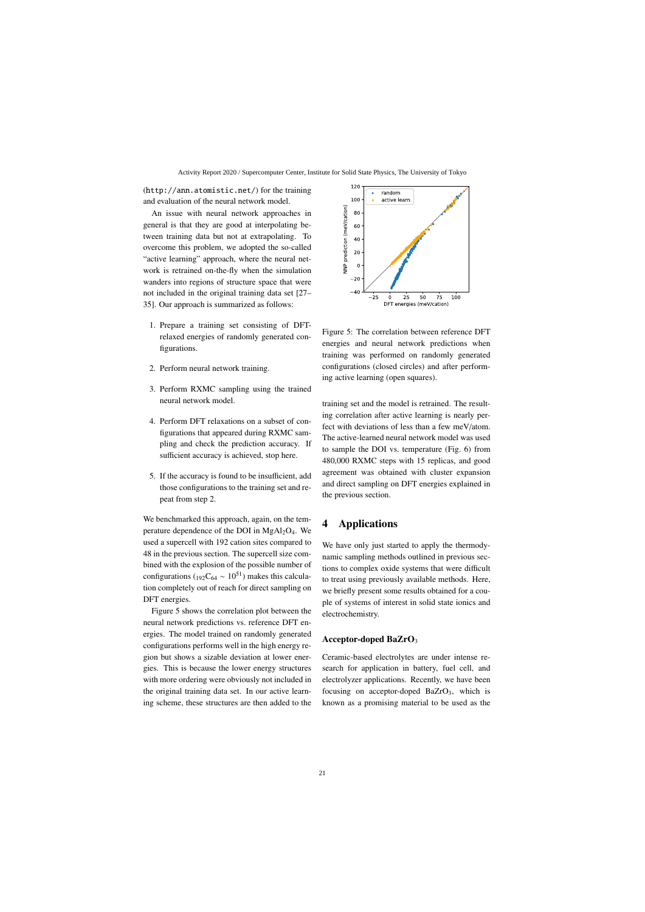(http://ann.atomistic.net/) for the training and evaluation of the neural network model.

An issue with neural network approaches in general is that they are good at interpolating between training data but not at extrapolating. To overcome this problem, we adopted the so-called "active learning" approach, where the neural network is retrained on-the-fly when the simulation wanders into regions of structure space that were not included in the original training data set [27– 35]. Our approach is summarized as follows:

- 1. Prepare a training set consisting of DFTrelaxed energies of randomly generated configurations.
- 2. Perform neural network training.
- 3. Perform RXMC sampling using the trained neural network model.
- 4. Perform DFT relaxations on a subset of configurations that appeared during RXMC sampling and check the prediction accuracy. If sufficient accuracy is achieved, stop here.
- 5. If the accuracy is found to be insufficient, add those configurations to the training set and repeat from step 2.

We benchmarked this approach, again, on the temperature dependence of the DOI in  $MgAl<sub>2</sub>O<sub>4</sub>$ . We used a supercell with 192 cation sites compared to 48 in the previous section. The supercell size combined with the explosion of the possible number of configurations ( $_{192}C_{64} \sim 10^{51}$ ) makes this calculation completely out of reach for direct sampling on DFT energies.

Figure 5 shows the correlation plot between the neural network predictions vs. reference DFT energies. The model trained on randomly generated configurations performs well in the high energy region but shows a sizable deviation at lower energies. This is because the lower energy structures with more ordering were obviously not included in the original training data set. In our active learning scheme, these structures are then added to the



Figure 5: The correlation between reference DFT energies and neural network predictions when training was performed on randomly generated configurations (closed circles) and after performing active learning (open squares).

training set and the model is retrained. The resulting correlation after active learning is nearly perfect with deviations of less than a few meV/atom. The active-learned neural network model was used to sample the DOI vs. temperature (Fig. 6) from 480,000 RXMC steps with 15 replicas, and good agreement was obtained with cluster expansion and direct sampling on DFT energies explained in the previous section.

### 4 Applications

We have only just started to apply the thermodynamic sampling methods outlined in previous sections to complex oxide systems that were difficult to treat using previously available methods. Here, we briefly present some results obtained for a couple of systems of interest in solid state ionics and electrochemistry.

#### Acceptor-doped BaZrO<sup>3</sup>

Ceramic-based electrolytes are under intense research for application in battery, fuel cell, and electrolyzer applications. Recently, we have been focusing on acceptor-doped BaZrO<sub>3</sub>, which is known as a promising material to be used as the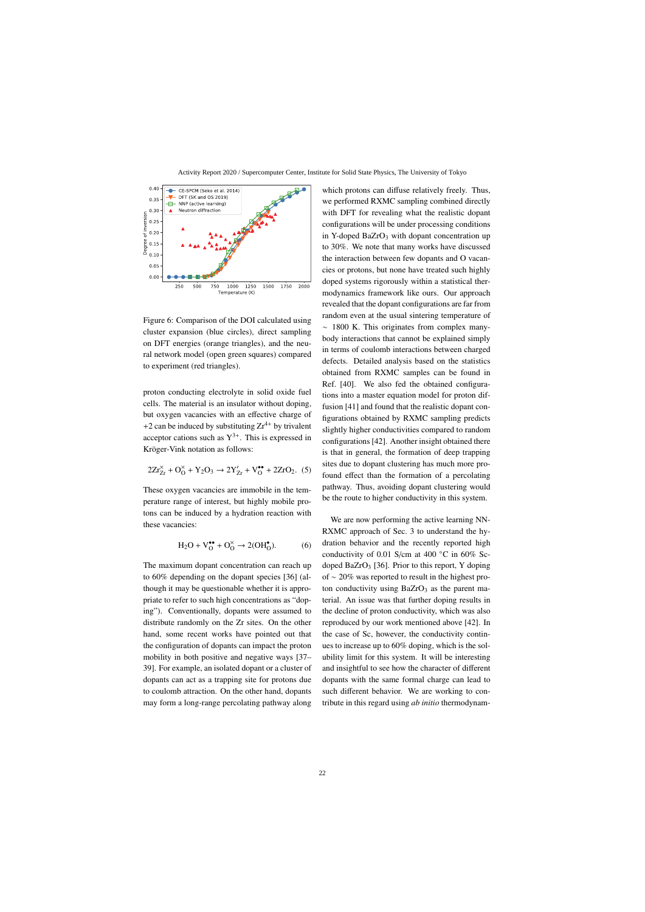

Figure 6: Comparison of the DOI calculated using cluster expansion (blue circles), direct sampling on DFT energies (orange triangles), and the neural network model (open green squares) compared to experiment (red triangles).

proton conducting electrolyte in solid oxide fuel cells. The material is an insulator without doping, but oxygen vacancies with an effective charge of +2 can be induced by substituting  $Zr^{4+}$  by trivalent acceptor cations such as  $Y^{3+}$ . This is expressed in Kröger-Vink notation as follows:

$$
2Zr_{Zr}^{\times} + O_0^{\times} + Y_2O_3 \to 2Y_{Zr}^{\prime} + V_0^{\bullet \bullet} + 2ZrO_2. (5)
$$

These oxygen vacancies are immobile in the temperature range of interest, but highly mobile protons can be induced by a hydration reaction with these vacancies:

$$
H_2O + V_O^{\bullet \bullet} + O_O^\times \to 2(OH_O^{\bullet}).\tag{6}
$$

The maximum dopant concentration can reach up to 60% depending on the dopant species [36] (although it may be questionable whether it is appropriate to refer to such high concentrations as "doping"). Conventionally, dopants were assumed to distribute randomly on the Zr sites. On the other hand, some recent works have pointed out that the configuration of dopants can impact the proton mobility in both positive and negative ways [37– 39]. For example, an isolated dopant or a cluster of dopants can act as a trapping site for protons due to coulomb attraction. On the other hand, dopants may form a long-range percolating pathway along

which protons can diffuse relatively freely. Thus, we performed RXMC sampling combined directly with DFT for revealing what the realistic dopant configurations will be under processing conditions in Y-doped BaZrO<sub>3</sub> with dopant concentration up to 30%. We note that many works have discussed the interaction between few dopants and O vacancies or protons, but none have treated such highly doped systems rigorously within a statistical thermodynamics framework like ours. Our approach revealed that the dopant configurations are far from random even at the usual sintering temperature of ∼ 1800 K. This originates from complex manybody interactions that cannot be explained simply in terms of coulomb interactions between charged defects. Detailed analysis based on the statistics obtained from RXMC samples can be found in Ref. [40]. We also fed the obtained configurations into a master equation model for proton diffusion [41] and found that the realistic dopant configurations obtained by RXMC sampling predicts slightly higher conductivities compared to random configurations [42]. Another insight obtained there is that in general, the formation of deep trapping sites due to dopant clustering has much more profound effect than the formation of a percolating pathway. Thus, avoiding dopant clustering would be the route to higher conductivity in this system.

We are now performing the active learning NN-RXMC approach of Sec. 3 to understand the hydration behavior and the recently reported high conductivity of 0.01 S/cm at 400  $\degree$ C in 60% Scdoped BaZrO<sub>3</sub> [36]. Prior to this report, Y doping of ∼ 20% was reported to result in the highest proton conductivity using  $BaZrO<sub>3</sub>$  as the parent material. An issue was that further doping results in the decline of proton conductivity, which was also reproduced by our work mentioned above [42]. In the case of Sc, however, the conductivity continues to increase up to 60% doping, which is the solubility limit for this system. It will be interesting and insightful to see how the character of different dopants with the same formal charge can lead to such different behavior. We are working to contribute in this regard using *ab initio* thermodynam-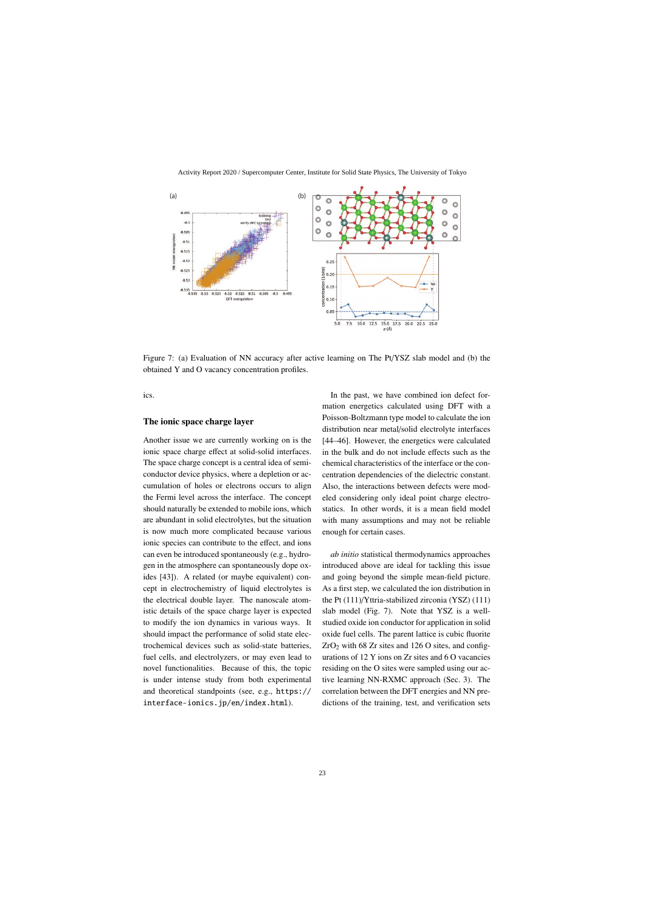

Figure 7: (a) Evaluation of NN accuracy after active learning on The Pt/YSZ slab model and (b) the obtained Y and O vacancy concentration profiles.

ics.

#### The ionic space charge layer

Another issue we are currently working on is the ionic space charge effect at solid-solid interfaces. The space charge concept is a central idea of semiconductor device physics, where a depletion or accumulation of holes or electrons occurs to align the Fermi level across the interface. The concept should naturally be extended to mobile ions, which are abundant in solid electrolytes, but the situation is now much more complicated because various ionic species can contribute to the effect, and ions can even be introduced spontaneously (e.g., hydrogen in the atmosphere can spontaneously dope oxides [43]). A related (or maybe equivalent) concept in electrochemistry of liquid electrolytes is the electrical double layer. The nanoscale atomistic details of the space charge layer is expected to modify the ion dynamics in various ways. It should impact the performance of solid state electrochemical devices such as solid-state batteries, fuel cells, and electrolyzers, or may even lead to novel functionalities. Because of this, the topic is under intense study from both experimental and theoretical standpoints (see, e.g., https:// interface-ionics.jp/en/index.html).

In the past, we have combined ion defect formation energetics calculated using DFT with a Poisson-Boltzmann type model to calculate the ion distribution near metal/solid electrolyte interfaces [44–46]. However, the energetics were calculated in the bulk and do not include effects such as the chemical characteristics of the interface or the concentration dependencies of the dielectric constant. Also, the interactions between defects were modeled considering only ideal point charge electrostatics. In other words, it is a mean field model with many assumptions and may not be reliable enough for certain cases.

*ab initio* statistical thermodynamics approaches introduced above are ideal for tackling this issue and going beyond the simple mean-field picture. As a first step, we calculated the ion distribution in the Pt (111)/Yttria-stabilized zirconia (YSZ) (111) slab model (Fig. 7). Note that YSZ is a wellstudied oxide ion conductor for application in solid oxide fuel cells. The parent lattice is cubic fluorite  $ZrO<sub>2</sub>$  with 68 Zr sites and 126 O sites, and configurations of 12 Y ions on Zr sites and 6 O vacancies residing on the O sites were sampled using our active learning NN-RXMC approach (Sec. 3). The correlation between the DFT energies and NN predictions of the training, test, and verification sets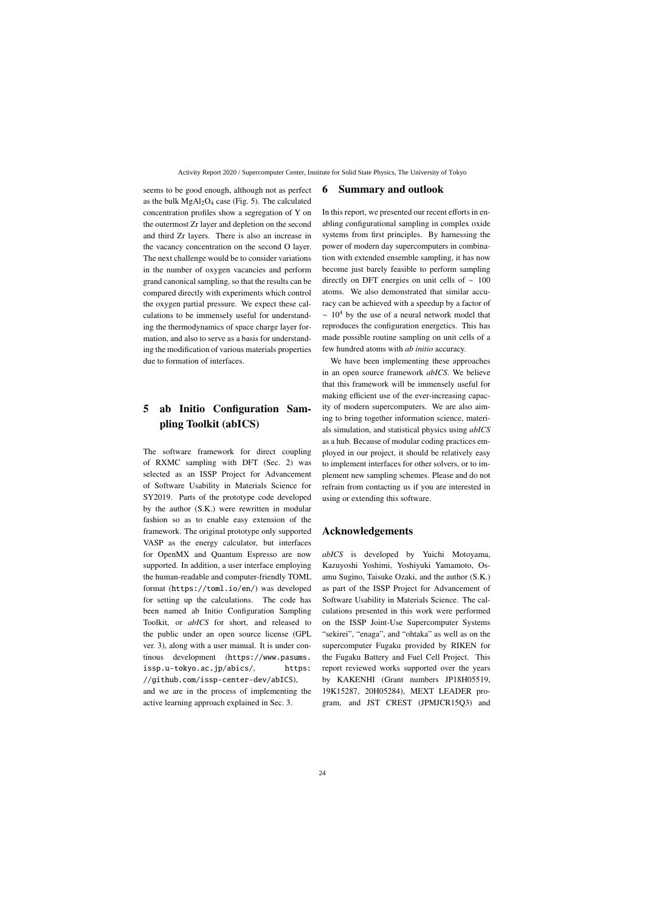seems to be good enough, although not as perfect as the bulk  $MgAl<sub>2</sub>O<sub>4</sub>$  case (Fig. 5). The calculated concentration profiles show a segregation of Y on the outermost Zr layer and depletion on the second and third Zr layers. There is also an increase in the vacancy concentration on the second O layer. The next challenge would be to consider variations in the number of oxygen vacancies and perform grand canonical sampling, so that the results can be compared directly with experiments which control the oxygen partial pressure. We expect these calculations to be immensely useful for understanding the thermodynamics of space charge layer formation, and also to serve as a basis for understanding the modification of various materials properties due to formation of interfaces.

# 5 ab Initio Configuration Sampling Toolkit (abICS)

The software framework for direct coupling of RXMC sampling with DFT (Sec. 2) was selected as an ISSP Project for Advancement of Software Usability in Materials Science for SY2019. Parts of the prototype code developed by the author (S.K.) were rewritten in modular fashion so as to enable easy extension of the framework. The original prototype only supported VASP as the energy calculator, but interfaces for OpenMX and Quantum Espresso are now supported. In addition, a user interface employing the human-readable and computer-friendly TOML format (https://toml.io/en/) was developed for setting up the calculations. The code has been named ab Initio Configuration Sampling Toolkit, or *abICS* for short, and released to the public under an open source license (GPL ver. 3), along with a user manual. It is under continous development (https://www.pasums. issp.u-tokyo.ac.jp/abics/, https: //github.com/issp-center-dev/abICS),

and we are in the process of implementing the active learning approach explained in Sec. 3.

### 6 Summary and outlook

In this report, we presented our recent efforts in enabling configurational sampling in complex oxide systems from first principles. By harnessing the power of modern day supercomputers in combination with extended ensemble sampling, it has now become just barely feasible to perform sampling directly on DFT energies on unit cells of  $~100$ atoms. We also demonstrated that similar accuracy can be achieved with a speedup by a factor of  $~\sim~10^4$  by the use of a neural network model that reproduces the configuration energetics. This has made possible routine sampling on unit cells of a few hundred atoms with *ab initio* accuracy.

We have been implementing these approaches in an open source framework *abICS*. We believe that this framework will be immensely useful for making efficient use of the ever-increasing capacity of modern supercomputers. We are also aiming to bring together information science, materials simulation, and statistical physics using *abICS* as a hub. Because of modular coding practices employed in our project, it should be relatively easy to implement interfaces for other solvers, or to implement new sampling schemes. Please and do not refrain from contacting us if you are interested in using or extending this software.

## Acknowledgements

*abICS* is developed by Yuichi Motoyama, Kazuyoshi Yoshimi, Yoshiyuki Yamamoto, Osamu Sugino, Taisuke Ozaki, and the author (S.K.) as part of the ISSP Project for Advancement of Software Usability in Materials Science. The calculations presented in this work were performed on the ISSP Joint-Use Supercomputer Systems "sekirei", "enaga", and "ohtaka" as well as on the supercomputer Fugaku provided by RIKEN for the Fugaku Battery and Fuel Cell Project. This report reviewed works supported over the years by KAKENHI (Grant numbers JP18H05519, 19K15287, 20H05284), MEXT LEADER program, and JST CREST (JPMJCR15Q3) and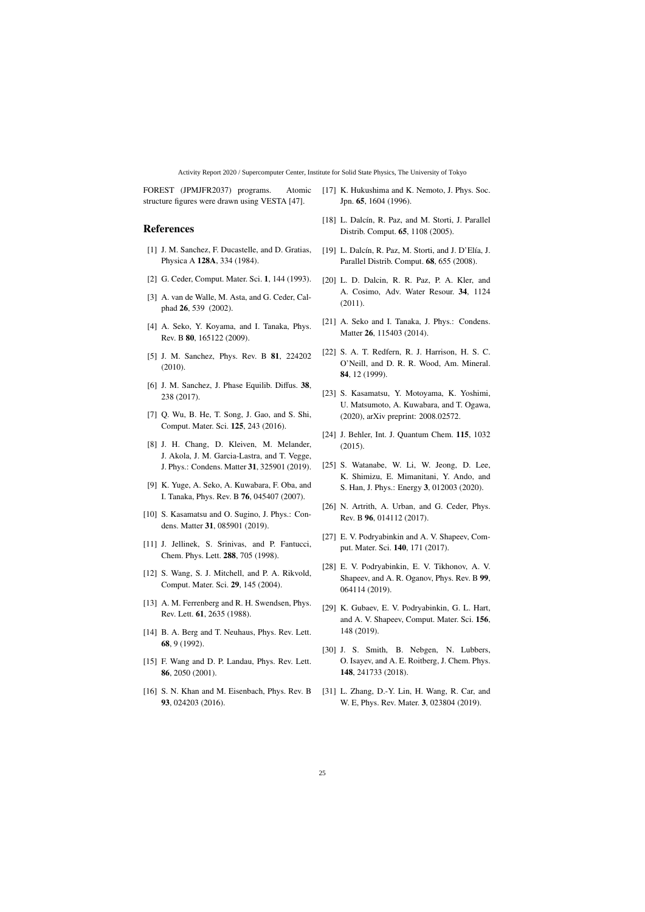FOREST (JPMJFR2037) programs. Atomic structure figures were drawn using VESTA [47].

### References

- [1] J. M. Sanchez, F. Ducastelle, and D. Gratias, Physica A 128A, 334 (1984).
- [2] G. Ceder, Comput. Mater. Sci. 1, 144 (1993).
- [3] A. van de Walle, M. Asta, and G. Ceder, Calphad 26, 539 (2002).
- [4] A. Seko, Y. Koyama, and I. Tanaka, Phys. Rev. B 80, 165122 (2009).
- [5] J. M. Sanchez, Phys. Rev. B 81, 224202 (2010).
- [6] J. M. Sanchez, J. Phase Equilib. Diffus. 38, 238 (2017).
- [7] Q. Wu, B. He, T. Song, J. Gao, and S. Shi, Comput. Mater. Sci. 125, 243 (2016).
- [8] J. H. Chang, D. Kleiven, M. Melander, J. Akola, J. M. Garcia-Lastra, and T. Vegge, J. Phys.: Condens. Matter 31, 325901 (2019).
- [9] K. Yuge, A. Seko, A. Kuwabara, F. Oba, and I. Tanaka, Phys. Rev. B 76, 045407 (2007).
- [10] S. Kasamatsu and O. Sugino, J. Phys.: Condens. Matter 31, 085901 (2019).
- [11] J. Jellinek, S. Srinivas, and P. Fantucci, Chem. Phys. Lett. 288, 705 (1998).
- [12] S. Wang, S. J. Mitchell, and P. A. Rikvold, Comput. Mater. Sci. 29, 145 (2004).
- [13] A. M. Ferrenberg and R. H. Swendsen, Phys. Rev. Lett. 61, 2635 (1988).
- [14] B. A. Berg and T. Neuhaus, Phys. Rev. Lett. 68, 9 (1992).
- [15] F. Wang and D. P. Landau, Phys. Rev. Lett. 86, 2050 (2001).
- [16] S. N. Khan and M. Eisenbach, Phys. Rev. B 93, 024203 (2016).
- [17] K. Hukushima and K. Nemoto, J. Phys. Soc. Jpn. 65, 1604 (1996).
- [18] L. Dalcín, R. Paz, and M. Storti, J. Parallel Distrib. Comput. 65, 1108 (2005).
- $[19]$  L. Dalcín, R. Paz, M. Storti, and J. D'Elía, J. Parallel Distrib. Comput. 68, 655 (2008).
- [20] L. D. Dalcin, R. R. Paz, P. A. Kler, and A. Cosimo, Adv. Water Resour. 34, 1124 (2011).
- [21] A. Seko and I. Tanaka, J. Phys.: Condens. Matter 26, 115403 (2014).
- [22] S. A. T. Redfern, R. J. Harrison, H. S. C. O'Neill, and D. R. R. Wood, Am. Mineral. 84, 12 (1999).
- [23] S. Kasamatsu, Y. Motoyama, K. Yoshimi, U. Matsumoto, A. Kuwabara, and T. Ogawa, (2020), arXiv preprint: 2008.02572.
- [24] J. Behler, Int. J. Quantum Chem. **115**, 1032 (2015).
- [25] S. Watanabe, W. Li, W. Jeong, D. Lee, K. Shimizu, E. Mimanitani, Y. Ando, and S. Han, J. Phys.: Energy 3, 012003 (2020).
- [26] N. Artrith, A. Urban, and G. Ceder, Phys. Rev. B 96, 014112 (2017).
- [27] E. V. Podryabinkin and A. V. Shapeev, Comput. Mater. Sci. 140, 171 (2017).
- [28] E. V. Podryabinkin, E. V. Tikhonov, A. V. Shapeev, and A. R. Oganov, Phys. Rev. B 99, 064114 (2019).
- [29] K. Gubaev, E. V. Podryabinkin, G. L. Hart, and A. V. Shapeev, Comput. Mater. Sci. 156, 148 (2019).
- [30] J. S. Smith, B. Nebgen, N. Lubbers, O. Isayev, and A. E. Roitberg, J. Chem. Phys. 148, 241733 (2018).
- [31] L. Zhang, D.-Y. Lin, H. Wang, R. Car, and W. E, Phys. Rev. Mater. 3, 023804 (2019).